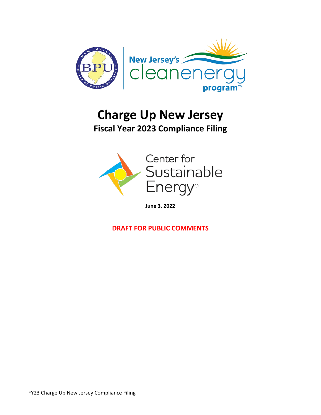

# **Charge Up New Jersey Fiscal Year 2023 Compliance Filing**



**June 3, 2022**

# **DRAFT FOR PUBLIC COMMENTS**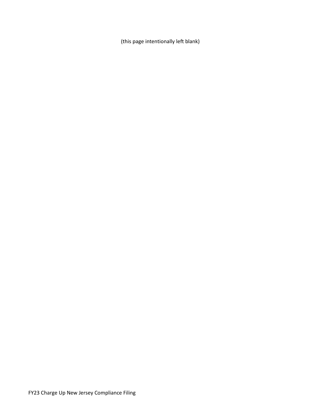(this page intentionally left blank)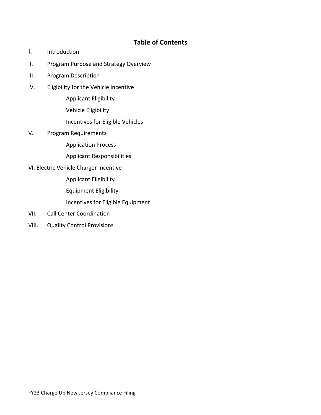# **Table of Contents**

- I. Introduction
- II. Program Purpose and Strategy Overview
- III. Program Description
- IV. Eligibility for the Vehicle Incentive

Applicant Eligibility

Vehicle Eligibility

Incentives for Eligible Vehicles

V. Program Requirements

Application Process

Applicant Responsibilities

VI. Electric Vehicle Charger Incentive

Applicant Eligibility

Equipment Eligibility

Incentives for Eligible Equipment

- VII. Call Center Coordination
- VIII. Quality Control Provisions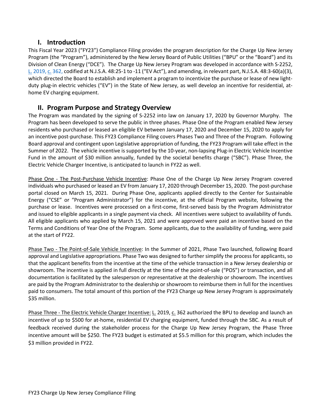## **I. Introduction**

This Fiscal Year 2023 ("FY23") Compliance Filing provides the program description for the Charge Up New Jersey Program (the "Program"), administered by the New Jersey Board of Public Utilities ("BPU" or the "Board") and its Division of Clean Energy ("DCE"). The Charge Up New Jersey Program was developed in accordance with S-2252, L. [2019, c.](https://www.njleg.state.nj.us/2018/Bills/PL19/362_.PDF) 362, codified at N.J.S.A. 48:25-1 to -11 ("EV Act"), and amending, in relevant part, N.J.S.A. 48:3-60(a)(3), which directed the Board to establish and implement a program to incentivize the purchase or lease of new lightduty plug-in electric vehicles ("EV") in the State of New Jersey, as well develop an incentive for residential, athome EV charging equipment.

## **II. Program Purpose and Strategy Overview**

The Program was mandated by the signing of S-2252 into law on January 17, 2020 by Governor Murphy. The Program has been developed to serve the public in three phases. Phase One of the Program enabled New Jersey residents who purchased or leased an eligible EV between January 17, 2020 and December 15, 2020 to apply for an incentive post-purchase. This FY23 Compliance Filing covers Phases Two and Three of the Program. Following Board approval and contingent upon Legislative appropriation of funding, the FY23 Program will take effect in the Summer of 2022. The vehicle incentive is supported by the 10-year, non-lapsing Plug-in Electric Vehicle Incentive Fund in the amount of \$30 million annually, funded by the societal benefits charge ("SBC"). Phase Three, the Electric Vehicle Charger Incentive, is anticipated to launch in FY22 as well.

Phase One - The Post-Purchase Vehicle Incentive: Phase One of the Charge Up New Jersey Program covered individuals who purchased or leased an EV from January 17, 2020 through December 15, 2020. The post-purchase portal closed on March 15, 2021. During Phase One, applicants applied directly to the Center for Sustainable Energy ("CSE" or "Program Administrator") for the incentive, at the official Program website, following the purchase or lease. Incentives were processed on a first-come, first-served basis by the Program Administrator and issued to eligible applicants in a single payment via check. All incentives were subject to availability of funds. All eligible applicants who applied by March 15, 2021 and were approved were paid an incentive based on the Terms and Conditions of Year One of the Program. Some applicants, due to the availability of funding, were paid at the start of FY22.

Phase Two - The Point-of-Sale Vehicle Incentive: In the Summer of 2021, Phase Two launched, following Board approval and Legislative appropriations. Phase Two was designed to further simplify the process for applicants, so that the applicant benefits from the incentive at the time of the vehicle transaction in a New Jersey dealership or showroom. The incentive is applied in full directly at the time of the point-of-sale ("POS") or transaction, and all documentation is facilitated by the salesperson or representative at the dealership or showroom. The incentives are paid by the Program Administrator to the dealership or showroom to reimburse them in full for the incentives paid to consumers. The total amount of this portion of the FY23 Charge up New Jersey Program is approximately \$35 million.

Phase Three - The Electric Vehicle Charger Incentive: L. 2019, c. 362 authorized the BPU to develop and launch an incentive of up to \$500 for at-home, residential EV charging equipment, funded through the SBC. As a result of feedback received during the stakeholder process for the Charge Up New Jersey Program, the Phase Three incentive amount will be \$250. The FY23 budget is estimated at \$5.5 million for this program, which includes the \$3 million provided in FY22.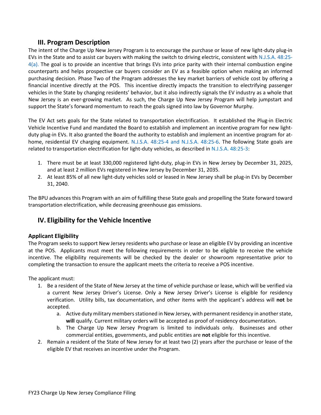## **III. Program Description**

The intent of the Charge Up New Jersey Program is to encourage the purchase or lease of new light-duty plug-in EVs in the State and to assist car buyers with making the switch to driving electric, consistent with N.J.S.A. 48:25-  $4(a)$ . The goal is to provide an incentive that brings EVs into price parity with their internal combustion engine counterparts and helps prospective car buyers consider an EV as a feasible option when making an informed purchasing decision. Phase Two of the Program addresses the key market barriers of vehicle cost by offering a financial incentive directly at the POS. This incentive directly impacts the transition to electrifying passenger vehicles in the State by changing residents' behavior, but it also indirectly signals the EV industry as a whole that New Jersey is an ever-growing market. As such, the Charge Up New Jersey Program will help jumpstart and support the State's forward momentum to reach the goals signed into law by Governor Murphy.

The EV Act sets goals for the State related to transportation electrification. It established the Plug-in Electric Vehicle Incentive Fund and mandated the Board to establish and implement an incentive program for new lightduty plug-in EVs. It also granted the Board the authority to establish and implement an incentive program for athome, residential EV charging equipment. N.J.S.A. 48:25-4 and N.J.S.A. 48:25-6. The following State goals are related to transportation electrification for light-duty vehicles, as described in N.J.S.A. 48:25-3:

- 1. There must be at least 330,000 registered light-duty, plug-in EVs in New Jersey by December 31, 2025, and at least 2 million EVs registered in New Jersey by December 31, 2035.
- 2. At least 85% of all new light-duty vehicles sold or leased in New Jersey shall be plug-in EVs by December 31, 2040.

The BPU advances this Program with an aim of fulfilling these State goals and propelling the State forward toward transportation electrification, while decreasing greenhouse gas emissions.

# **IV. Eligibility for the Vehicle Incentive**

#### **Applicant Eligibility**

The Program seeks to support New Jersey residents who purchase or lease an eligible EV by providing an incentive at the POS. Applicants must meet the following requirements in order to be eligible to receive the vehicle incentive. The eligibility requirements will be checked by the dealer or showroom representative prior to completing the transaction to ensure the applicant meets the criteria to receive a POS incentive.

The applicant must:

- 1. Be a resident of the State of New Jersey at the time of vehicle purchase or lease, which will be verified via a current New Jersey Driver's License. Only a New Jersey Driver's License is eligible for residency verification. Utility bills, tax documentation, and other items with the applicant's address will **not** be accepted.
	- a. Active duty military members stationed in New Jersey, with permanent residency in another state, **will** qualify. Current military orders will be accepted as proof of residency documentation.
	- b. The Charge Up New Jersey Program is limited to individuals only. Businesses and other commercial entities, governments, and public entities are **not** eligible for this incentive.
- 2. Remain a resident of the State of New Jersey for at least two (2) years after the purchase or lease of the eligible EV that receives an incentive under the Program.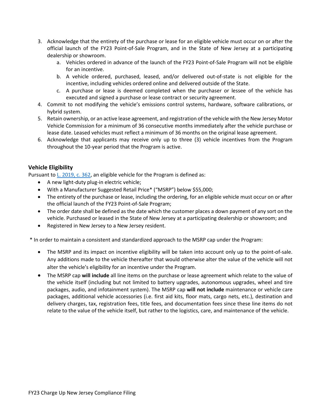- 3. Acknowledge that the entirety of the purchase or lease for an eligible vehicle must occur on or after the official launch of the FY23 Point-of-Sale Program, and in the State of New Jersey at a participating dealership or showroom.
	- a. Vehicles ordered in advance of the launch of the FY23 Point-of-Sale Program will not be eligible for an incentive.
	- b. A vehicle ordered, purchased, leased, and/or delivered out-of-state is not eligible for the incentive, including vehicles ordered online and delivered outside of the State.
	- c. A purchase or lease is deemed completed when the purchaser or lessee of the vehicle has executed and signed a purchase or lease contract or security agreement.
- 4. Commit to not modifying the vehicle's emissions control systems, hardware, software calibrations, or hybrid system.
- 5. Retain ownership, or an active lease agreement, and registration of the vehicle with the New Jersey Motor Vehicle Commission for a minimum of 36 consecutive months immediately after the vehicle purchase or lease date. Leased vehicles must reflect a minimum of 36 months on the original lease agreement.
- 6. Acknowledge that applicants may receive only up to three (3) vehicle incentives from the Program throughout the 10-year period that the Program is active.

#### **Vehicle Eligibility**

Pursuant to  $\underline{\mathsf{L}}$ . [2019, c.](https://www.njleg.state.nj.us/2018/Bills/PL19/362_.PDF) 362, an eligible vehicle for the Program is defined as:

- A new light-duty plug-in electric vehicle;
- With a Manufacturer Suggested Retail Price\* ("MSRP") below \$55,000;
- The entirety of the purchase or lease, including the ordering, for an eligible vehicle must occur on or after the official launch of the FY23 Point-of-Sale Program;
- The order date shall be defined as the date which the customer places a down payment of any sort on the vehicle. Purchased or leased in the State of New Jersey at a participating dealership or showroom; and
- Registered in New Jersey to a New Jersey resident.

\* In order to maintain a consistent and standardized approach to the MSRP cap under the Program:

- The MSRP and its impact on incentive eligibility will be taken into account only up to the point-of-sale. Any additions made to the vehicle thereafter that would otherwise alter the value of the vehicle will not alter the vehicle's eligibility for an incentive under the Program.
- The MSRP cap **will include** all line items on the purchase or lease agreement which relate to the value of the vehicle itself (including but not limited to battery upgrades, autonomous upgrades, wheel and tire packages, audio, and infotainment system). The MSRP cap **will not include** maintenance or vehicle care packages, additional vehicle accessories (i.e. first aid kits, floor mats, cargo nets, etc.), destination and delivery charges, tax, registration fees, title fees, and documentation fees since these line items do not relate to the value of the vehicle itself, but rather to the logistics, care, and maintenance of the vehicle.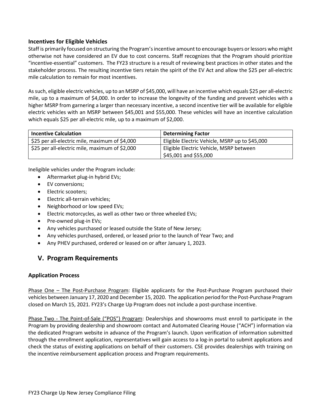#### **Incentives for Eligible Vehicles**

Staff is primarily focused on structuring the Program's incentive amount to encourage buyers or lessors who might otherwise not have considered an EV due to cost concerns. Staff recognizes that the Program should prioritize "incentive-essential" customers. The FY23 structure is a result of reviewing best practices in other states and the stakeholder process. The resulting incentive tiers retain the spirit of the EV Act and allow the \$25 per all-electric mile calculation to remain for most incentives.

As such, eligible electric vehicles, up to an MSRP of \$45,000, will have an incentive which equals \$25 per all-electric mile, up to a maximum of \$4,000. In order to increase the longevity of the funding and prevent vehicles with a higher MSRP from garnering a larger than necessary incentive, a second incentive tier will be available for eligible electric vehicles with an MSRP between \$45,001 and \$55,000. These vehicles will have an incentive calculation which equals \$25 per all-electric mile, up to a maximum of \$2,000.

| <b>Incentive Calculation</b>                   | <b>Determining Factor</b>                      |
|------------------------------------------------|------------------------------------------------|
| \$25 per all-electric mile, maximum of \$4,000 | Eligible Electric Vehicle, MSRP up to \$45,000 |
| \$25 per all-electric mile, maximum of \$2,000 | Eligible Electric Vehicle, MSRP between        |
|                                                | \$45,001 and \$55,000                          |

Ineligible vehicles under the Program include:

- Aftermarket plug-in hybrid EVs;
- EV conversions;
- Electric scooters;
- Electric all-terrain vehicles;
- Neighborhood or low speed EVs;
- Electric motorcycles, as well as other two or three wheeled EVs;
- Pre-owned plug-in EVs;
- Any vehicles purchased or leased outside the State of New Jersey;
- Any vehicles purchased, ordered, or leased prior to the launch of Year Two; and
- Any PHEV purchased, ordered or leased on or after January 1, 2023.

## **V. Program Requirements**

#### **Application Process**

Phase One – The Post-Purchase Program: Eligible applicants for the Post-Purchase Program purchased their vehicles between January 17, 2020 and December 15, 2020. The application period for the Post-Purchase Program closed on March 15, 2021. FY23's Charge Up Program does not include a post-purchase incentive.

Phase Two - The Point-of-Sale ("POS") Program: Dealerships and showrooms must enroll to participate in the Program by providing dealership and showroom contact and Automated Clearing House ("ACH") information via the dedicated Program website in advance of the Program's launch. Upon verification of information submitted through the enrollment application, representatives will gain access to a log-in portal to submit applications and check the status of existing applications on behalf of their customers. CSE provides dealerships with training on the incentive reimbursement application process and Program requirements.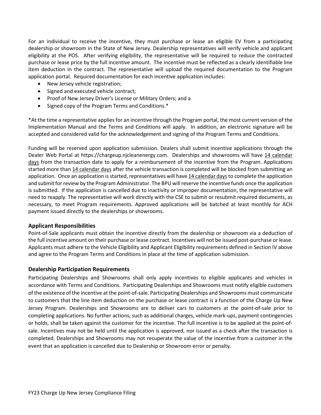For an individual to receive the incentive, they must purchase or lease an eligible EV from a participating dealership or showroom in the State of New Jersey. Dealership representatives will verify vehicle and applicant eligibility at the POS. After verifying eligibility, the representative will be required to reduce the contracted purchase or lease price by the full incentive amount. The incentive must be reflected as a clearly identifiable line item deduction in the contract. The representative will upload the required documentation to the Program application portal. Required documentation for each incentive application includes:

- New Jersey vehicle registration;
- Signed and executed vehicle contract;
- Proof of New Jersey Driver's License or Military Orders; and a
- Signed copy of the Program Terms and Conditions.\*

\*At the time a representative applies for an incentive through the Program portal, the most current version of the Implementation Manual and the Terms and Conditions will apply. In addition, an electronic signature will be accepted and considered valid for the acknowledgement and signing of the Program Terms and Conditions.

Funding will be reserved upon application submission. Dealers shall submit incentive applications through the Dealer Web Portal at https://chargeup.njcleanenergy.com. Dealerships and showrooms will have 14 calendar days from the transaction date to apply for a reimbursement of the incentive from the Program. Applications started more than 14 calendar days after the vehicle transaction is completed will be blocked from submitting an application. Once an application is started, representatives will have 14 calendar daysto complete the application and submit for review by the Program Administrator. The BPU will reserve the incentive funds once the application is submitted. If the application is cancelled due to inactivity or improper documentation, the representative will need to reapply. The representative will work directly with the CSE to submit or resubmit required documents, as necessary, to meet Program requirements. Approved applications will be batched at least monthly for ACH payment issued directly to the dealerships or showrooms.

#### **Applicant Responsibilities**

Point-of-Sale applicants must obtain the incentive directly from the dealership or showroom via a deduction of the full incentive amount on their purchase or lease contract. Incentives will not be issued post-purchase or lease. Applicants must adhere to the Vehicle Eligibility and Applicant Eligibility requirements defined in Section IV above and agree to the Program Terms and Conditions in place at the time of application submission.

#### **Dealership Participation Requirements**

Participating Dealerships and Showrooms shall only apply incentives to eligible applicants and vehicles in accordance with Terms and Conditions. Participating Dealerships and Showrooms must notify eligible customers of the existence of the incentive at the point-of-sale. Participating Dealerships and Showrooms must communicate to customers that the line item deduction on the purchase or lease contract is a function of the Charge Up New Jersey Program. Dealerships and Showrooms are to deliver cars to customers at the point-of-sale prior to completing applications. No further actions, such as additional charges, vehicle mark-ups, payment contingencies or holds, shall be taken against the customer for the incentive. The full incentive is to be applied at the point-ofsale. Incentives may not be held until the application is approved, nor issued as a check after the transaction is completed. Dealerships and Showrooms may not recuperate the value of the incentive from a customer in the event that an application is cancelled due to Dealership or Showroom error or penalty.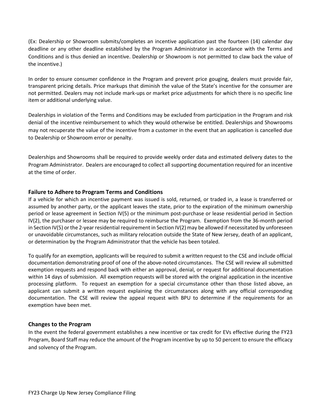(Ex: Dealership or Showroom submits/completes an incentive application past the fourteen (14) calendar day deadline or any other deadline established by the Program Administrator in accordance with the Terms and Conditions and is thus denied an incentive. Dealership or Showroom is not permitted to claw back the value of the incentive.)

In order to ensure consumer confidence in the Program and prevent price gouging, dealers must provide fair, transparent pricing details. Price markups that diminish the value of the State's incentive for the consumer are not permitted. Dealers may not include mark-ups or market price adjustments for which there is no specific line item or additional underlying value.

Dealerships in violation of the Terms and Conditions may be excluded from participation in the Program and risk denial of the incentive reimbursement to which they would otherwise be entitled. Dealerships and Showrooms may not recuperate the value of the incentive from a customer in the event that an application is cancelled due to Dealership or Showroom error or penalty.

Dealerships and Showrooms shall be required to provide weekly order data and estimated delivery dates to the Program Administrator. Dealers are encouraged to collect all supporting documentation required for an incentive at the time of order.

#### **Failure to Adhere to Program Terms and Conditions**

If a vehicle for which an incentive payment was issued is sold, returned, or traded in, a lease is transferred or assumed by another party, or the applicant leaves the state, prior to the expiration of the minimum ownership period or lease agreement in Section IV(5) or the minimum post-purchase or lease residential period in Section IV(2), the purchaser or lessee may be required to reimburse the Program. Exemption from the 36-month period in Section IV(5) or the 2-year residential requirement in Section IV(2) may be allowed if necessitated by unforeseen or unavoidable circumstances, such as military relocation outside the State of New Jersey, death of an applicant, or determination by the Program Administrator that the vehicle has been totaled.

To qualify for an exemption, applicants will be required to submit a written request to the CSE and include official documentation demonstrating proof of one of the above-noted circumstances. The CSE will review all submitted exemption requests and respond back with either an approval, denial, or request for additional documentation within 14 days of submission. All exemption requests will be stored with the original application in the incentive processing platform. To request an exemption for a special circumstance other than those listed above, an applicant can submit a written request explaining the circumstances along with any official corresponding documentation. The CSE will review the appeal request with BPU to determine if the requirements for an exemption have been met.

#### **Changes to the Program**

In the event the federal government establishes a new incentive or tax credit for EVs effective during the FY23 Program, Board Staff may reduce the amount of the Program incentive by up to 50 percent to ensure the efficacy and solvency of the Program.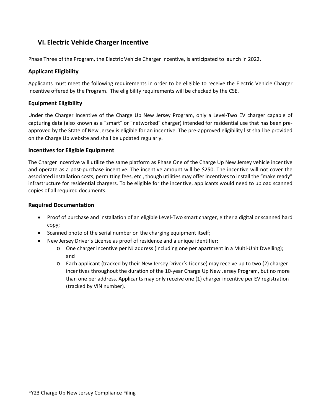# **VI. Electric Vehicle Charger Incentive**

Phase Three of the Program, the Electric Vehicle Charger Incentive, is anticipated to launch in 2022.

#### **Applicant Eligibility**

Applicants must meet the following requirements in order to be eligible to receive the Electric Vehicle Charger Incentive offered by the Program. The eligibility requirements will be checked by the CSE.

#### **Equipment Eligibility**

Under the Charger Incentive of the Charge Up New Jersey Program, only a Level-Two EV charger capable of capturing data (also known as a "smart" or "networked" charger) intended for residential use that has been preapproved by the State of New Jersey is eligible for an incentive. The pre-approved eligibility list shall be provided on the Charge Up website and shall be updated regularly.

#### **Incentives for Eligible Equipment**

The Charger Incentive will utilize the same platform as Phase One of the Charge Up New Jersey vehicle incentive and operate as a post-purchase incentive. The incentive amount will be \$250. The incentive will not cover the associated installation costs, permitting fees, etc., though utilities may offer incentives to install the "make ready" infrastructure for residential chargers. To be eligible for the incentive, applicants would need to upload scanned copies of all required documents.

#### **Required Documentation**

- Proof of purchase and installation of an eligible Level-Two smart charger, either a digital or scanned hard copy;
- Scanned photo of the serial number on the charging equipment itself;
- New Jersey Driver's License as proof of residence and a unique identifier;
	- o One charger incentive per NJ address (including one per apartment in a Multi-Unit Dwelling); and
	- o Each applicant (tracked by their New Jersey Driver's License) may receive up to two (2) charger incentives throughout the duration of the 10-year Charge Up New Jersey Program, but no more than one per address. Applicants may only receive one (1) charger incentive per EV registration (tracked by VIN number).